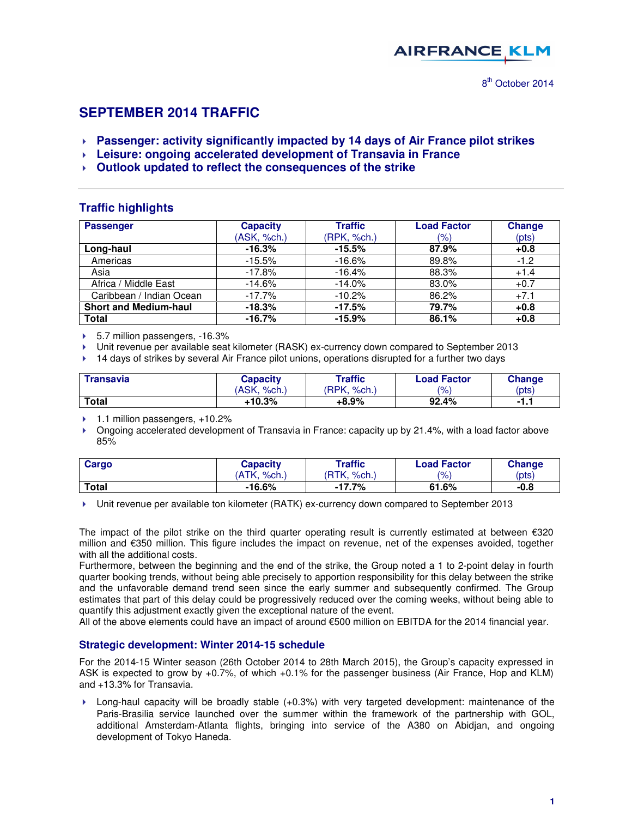

# **SEPTEMBER 2014 TRAFFIC**

- **Passenger: activity significantly impacted by 14 days of Air France pilot strikes**
- **Leisure: ongoing accelerated development of Transavia in France**
- **Outlook updated to reflect the consequences of the strike**

### **Traffic highlights**

| <b>Passenger</b>             | <b>Capacity</b> | <b>Traffic</b> | <b>Load Factor</b> | <b>Change</b> |
|------------------------------|-----------------|----------------|--------------------|---------------|
|                              | (ASK, %ch.)     | (RPK, %ch.)    | (%)                | (pts)         |
| Long-haul                    | $-16.3%$        | $-15.5%$       | 87.9%              | $+0.8$        |
| Americas                     | $-15.5%$        | $-16.6%$       | 89.8%              | $-1.2$        |
| Asia                         | $-17.8%$        | $-16.4%$       | 88.3%              | $+1.4$        |
| Africa / Middle East         | $-14.6%$        | $-14.0%$       | 83.0%              | $+0.7$        |
| Caribbean / Indian Ocean     | $-17.7%$        | $-10.2%$       | 86.2%              | $+7.1$        |
| <b>Short and Medium-haul</b> | $-18.3%$        | $-17.5%$       | 79.7%              | $+0.8$        |
| Total                        | $-16.7%$        | $-15.9%$       | 86.1%              | $+0.8$        |

▶ 5.7 million passengers, -16.3%

Unit revenue per available seat kilometer (RASK) ex-currency down compared to September 2013

▶ 14 days of strikes by several Air France pilot unions, operations disrupted for a further two days

| <b>Transavia</b> | Capacity       | Traffic          | <b>Load Factor</b> | Change |
|------------------|----------------|------------------|--------------------|--------|
|                  | 'ASK.<br>%ch., | 'RPK.<br>$%$ ch. | $\frac{10}{6}$     | (pts)  |
| <b>Total</b>     | +10.3%         | +8.9%            | 92.4%              |        |

 $\blacktriangleright$  1.1 million passengers, +10.2%

 Ongoing accelerated development of Transavia in France: capacity up by 21.4%, with a load factor above 85%

| Cargo | Capacitv    | Traffic                    | <b>Load Factor</b> | Change |
|-------|-------------|----------------------------|--------------------|--------|
|       | (ATK. %ch.) | <b>RTK.</b><br>$%$ ch. $i$ | $\frac{10}{6}$     | (pts)  |
| Total | $-16.6%$    | $-17.7%$                   | 61.6%              | $-0.8$ |

Unit revenue per available ton kilometer (RATK) ex-currency down compared to September 2013

The impact of the pilot strike on the third quarter operating result is currently estimated at between  $\epsilon$ 320 million and €350 million. This figure includes the impact on revenue, net of the expenses avoided, together with all the additional costs.

Furthermore, between the beginning and the end of the strike, the Group noted a 1 to 2-point delay in fourth quarter booking trends, without being able precisely to apportion responsibility for this delay between the strike and the unfavorable demand trend seen since the early summer and subsequently confirmed. The Group estimates that part of this delay could be progressively reduced over the coming weeks, without being able to quantify this adjustment exactly given the exceptional nature of the event.

All of the above elements could have an impact of around €500 million on EBITDA for the 2014 financial year.

#### **Strategic development: Winter 2014-15 schedule**

For the 2014-15 Winter season (26th October 2014 to 28th March 2015), the Group's capacity expressed in ASK is expected to grow by +0.7%, of which +0.1% for the passenger business (Air France, Hop and KLM) and +13.3% for Transavia.

 Long-haul capacity will be broadly stable (+0.3%) with very targeted development: maintenance of the Paris-Brasilia service launched over the summer within the framework of the partnership with GOL, additional Amsterdam-Atlanta flights, bringing into service of the A380 on Abidjan, and ongoing development of Tokyo Haneda.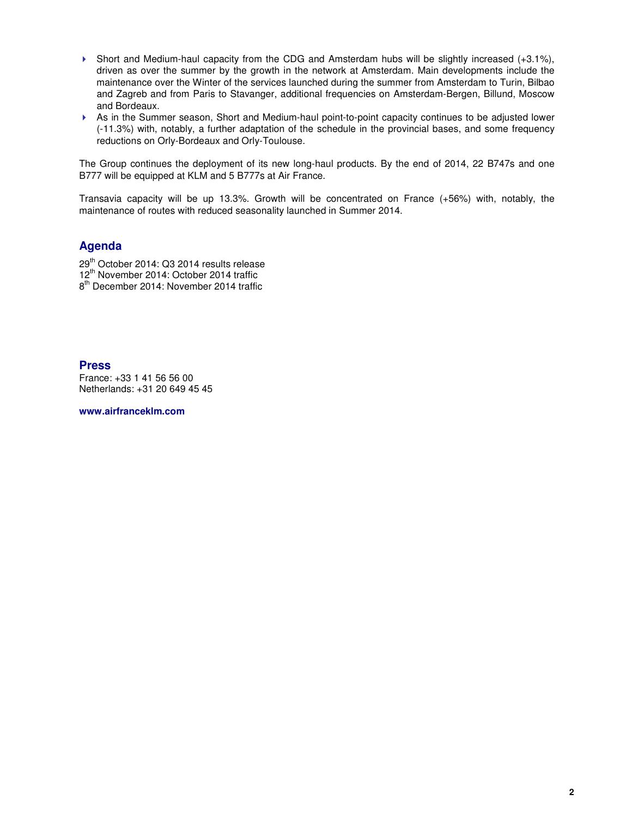- $\triangleright$  Short and Medium-haul capacity from the CDG and Amsterdam hubs will be slightly increased (+3.1%), driven as over the summer by the growth in the network at Amsterdam. Main developments include the maintenance over the Winter of the services launched during the summer from Amsterdam to Turin, Bilbao and Zagreb and from Paris to Stavanger, additional frequencies on Amsterdam-Bergen, Billund, Moscow and Bordeaux.
- As in the Summer season, Short and Medium-haul point-to-point capacity continues to be adjusted lower (-11.3%) with, notably, a further adaptation of the schedule in the provincial bases, and some frequency reductions on Orly-Bordeaux and Orly-Toulouse.

The Group continues the deployment of its new long-haul products. By the end of 2014, 22 B747s and one B777 will be equipped at KLM and 5 B777s at Air France.

Transavia capacity will be up 13.3%. Growth will be concentrated on France (+56%) with, notably, the maintenance of routes with reduced seasonality launched in Summer 2014.

## **Agenda**

29<sup>th</sup> October 2014: Q3 2014 results release 12<sup>th</sup> November 2014: October 2014 traffic

8<sup>th</sup> December 2014: November 2014 traffic

#### **Press**

France: +33 1 41 56 56 00 Netherlands: +31 20 649 45 45

**www.airfranceklm.com**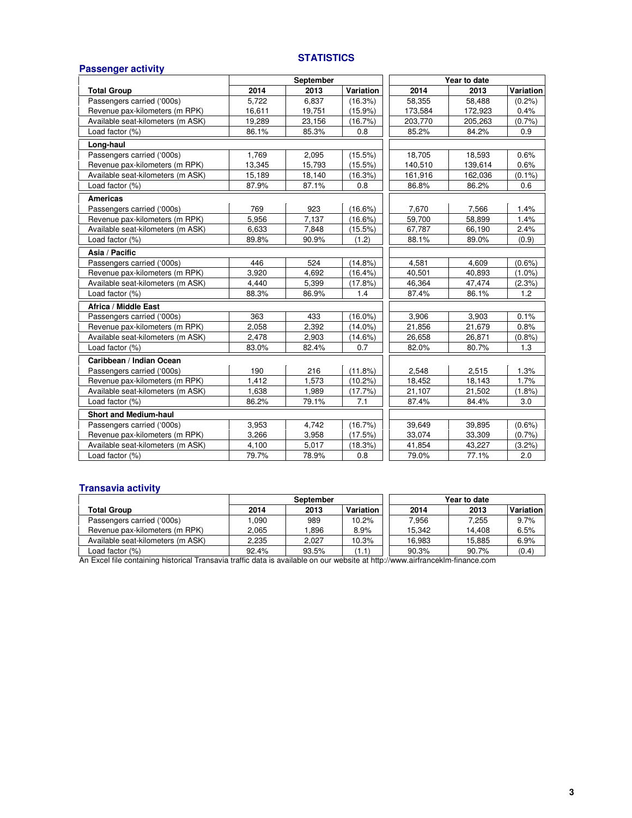#### **STATISTICS**

| <b>Passenger activity</b>         |           |        |            |              |         |           |
|-----------------------------------|-----------|--------|------------|--------------|---------|-----------|
|                                   | September |        |            | Year to date |         |           |
| <b>Total Group</b>                | 2014      | 2013   | Variation  | 2014         | 2013    | Variation |
| Passengers carried ('000s)        | 5,722     | 6,837  | (16.3%)    | 58,355       | 58,488  | $(0.2\%)$ |
| Revenue pax-kilometers (m RPK)    | 16,611    | 19,751 | $(15.9\%)$ | 173,584      | 172,923 | 0.4%      |
| Available seat-kilometers (m ASK) | 19,289    | 23,156 | (16.7%)    | 203,770      | 205,263 | (0.7%     |
| Load factor (%)                   | 86.1%     | 85.3%  | 0.8        | 85.2%        | 84.2%   | 0.9       |
| Long-haul                         |           |        |            |              |         |           |
| Passengers carried ('000s)        | 1,769     | 2,095  | (15.5%)    | 18,705       | 18,593  | 0.6%      |
| Revenue pax-kilometers (m RPK)    | 13,345    | 15,793 | $(15.5\%)$ | 140,510      | 139,614 | 0.6%      |
| Available seat-kilometers (m ASK) | 15,189    | 18,140 | (16.3%)    | 161,916      | 162,036 | $(0.1\%)$ |
| Load factor (%)                   | 87.9%     | 87.1%  | 0.8        | 86.8%        | 86.2%   | 0.6       |
| <b>Americas</b>                   |           |        |            |              |         |           |
| Passengers carried ('000s)        | 769       | 923    | $(16.6\%)$ | 7,670        | 7,566   | 1.4%      |
| Revenue pax-kilometers (m RPK)    | 5,956     | 7,137  | $(16.6\%)$ | 59,700       | 58,899  | 1.4%      |
| Available seat-kilometers (m ASK) | 6,633     | 7,848  | $(15.5\%)$ | 67,787       | 66,190  | 2.4%      |
| Load factor (%)                   | 89.8%     | 90.9%  | (1.2)      | 88.1%        | 89.0%   | (0.9)     |
| Asia / Pacific                    |           |        |            |              |         |           |
| Passengers carried ('000s)        | 446       | 524    | $(14.8\%)$ | 4.581        | 4.609   | $(0.6\%)$ |
| Revenue pax-kilometers (m RPK)    | 3,920     | 4,692  | $(16.4\%)$ | 40,501       | 40,893  | $(1.0\%)$ |
| Available seat-kilometers (m ASK) | 4,440     | 5,399  | (17.8%)    | 46,364       | 47,474  | (2.3%)    |
| Load factor (%)                   | 88.3%     | 86.9%  | 1.4        | 87.4%        | 86.1%   | 1.2       |
| Africa / Middle East              |           |        |            |              |         |           |
| Passengers carried ('000s)        | 363       | 433    | $(16.0\%)$ | 3,906        | 3,903   | 0.1%      |
| Revenue pax-kilometers (m RPK)    | 2,058     | 2.392  | $(14.0\%)$ | 21,856       | 21,679  | 0.8%      |
| Available seat-kilometers (m ASK) | 2,478     | 2,903  | $(14.6\%)$ | 26,658       | 26,871  | (0.8% )   |
| Load factor (%)                   | 83.0%     | 82.4%  | 0.7        | 82.0%        | 80.7%   | 1.3       |
| Caribbean / Indian Ocean          |           |        |            |              |         |           |
| Passengers carried ('000s)        | 190       | 216    | (11.8%)    | 2,548        | 2,515   | 1.3%      |
| Revenue pax-kilometers (m RPK)    | 1,412     | 1,573  | $(10.2\%)$ | 18,452       | 18,143  | 1.7%      |
| Available seat-kilometers (m ASK) | 1,638     | 1,989  | (17.7%     | 21,107       | 21,502  | (1.8%)    |
| Load factor (%)                   | 86.2%     | 79.1%  | 7.1        | 87.4%        | 84.4%   | 3.0       |
| <b>Short and Medium-haul</b>      |           |        |            |              |         |           |
| Passengers carried ('000s)        | 3,953     | 4,742  | (16.7%)    | 39,649       | 39,895  | $(0.6\%)$ |
| Revenue pax-kilometers (m RPK)    | 3,266     | 3,958  | (17.5%)    | 33,074       | 33,309  | (0.7%     |
| Available seat-kilometers (m ASK) | 4,100     | 5,017  | (18.3%)    | 41,854       | 43.227  | (3.2%)    |
| Load factor (%)                   | 79.7%     | 78.9%  | 0.8        | 79.0%        | 77.1%   | 2.0       |

#### **Transavia activity**

|                                   | September |       |           | Year to date |        |           |  |
|-----------------------------------|-----------|-------|-----------|--------------|--------|-----------|--|
| <b>Total Group</b>                | 2014      | 2013  | Variation | 2014         | 2013   | Variation |  |
| Passengers carried ('000s)        | .090      | 989   | 10.2%     | 7.956        | 7.255  | 9.7%      |  |
| Revenue pax-kilometers (m RPK)    | 2.065     | .896  | 8.9%      | 15.342       | 14.408 | 6.5%      |  |
| Available seat-kilometers (m ASK) | 2.235     | 2.027 | 10.3%     | 16.983       | 15,885 | 6.9%      |  |
| Load factor (%)                   | 92.4%     | 93.5% | (1.1)     | 90.3%        | 90.7%  | (0.4)     |  |

An Excel file containing historical Transavia traffic data is available on our website at http://www.airfranceklm-finance.com